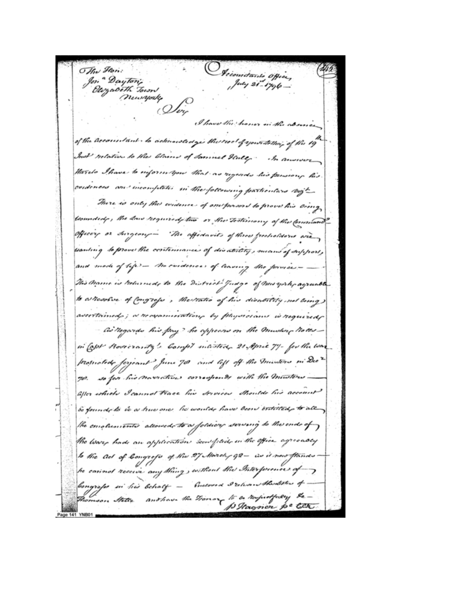O Jecountains opice,<br>| puty 21-1796 -The Flori: Jon " Dayton's<br>Jon " Dayton's<br>Newsworks Ding I have the honor in the about of the accountant to acknowledge the real of your totter, of the 19 Inst Intation to the blame of Samuel Hully · manus thereto Ihave to inform you that as regards his persions his and meanifilates in the following particulars boyt cordences There is only the evidence of one persons to prove his Oceny Commedcale, the Law required, two or the Testerior the formuland\_ officery or Ingerry The affortanits of three f recholdorio wanting to prove the continuumer of disability, me ans af a hofoport<sub>)</sub> and made of lefe cordence) of leaving dho This Manne is returned, to the District Judge of Merry . agruable to attentive of Congrege, the tratio of his discritity ascertained ; a necommention by physicians is as negards his pay? he appears on the mustar in Capt Hosecranty's Compt intested 21 April 79- for the way promotede forjeant June 70 and left off the misters in Dec so for his movementies corresponds with the mi 70% Shoulds his account aller which I cannot trace his dervices be found to be a hue one he would have been intelled, to the ends of the emoluments allowed to a foldway serving the warp hade an application seconfidence in the office agreeably to the ad of Congress of the March g2is it now the without the Interfe he carinal receive any thing ) Constowed Irelever theatertu Congress in his behalf anotiave the Tionary to be respectfully the Thomson States p Hagner pe Cet Page 141 YNB01